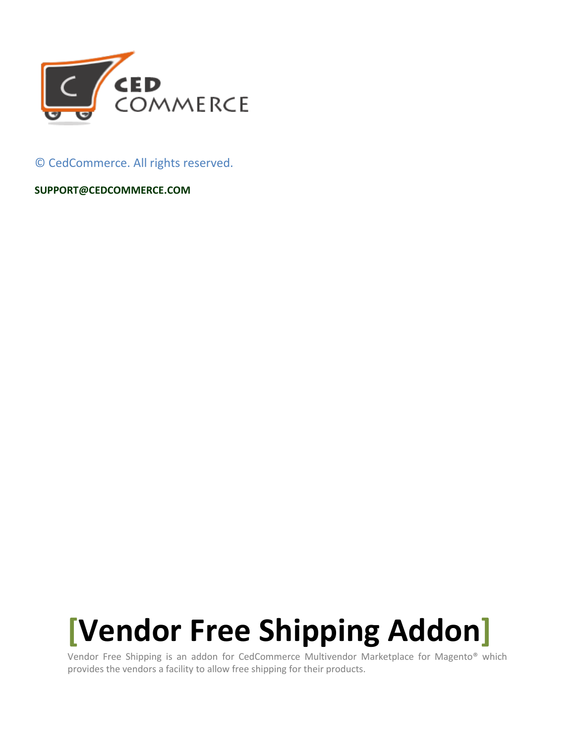

© CedCommerce. All rights reserved.

**SUPPORT@CEDCOMMERCE.COM**

# **[Vendor Free Shipping Addon]**

Vendor Free Shipping is an addon for CedCommerce Multivendor Marketplace for Magento® which provides the vendors a facility to allow free shipping for their products.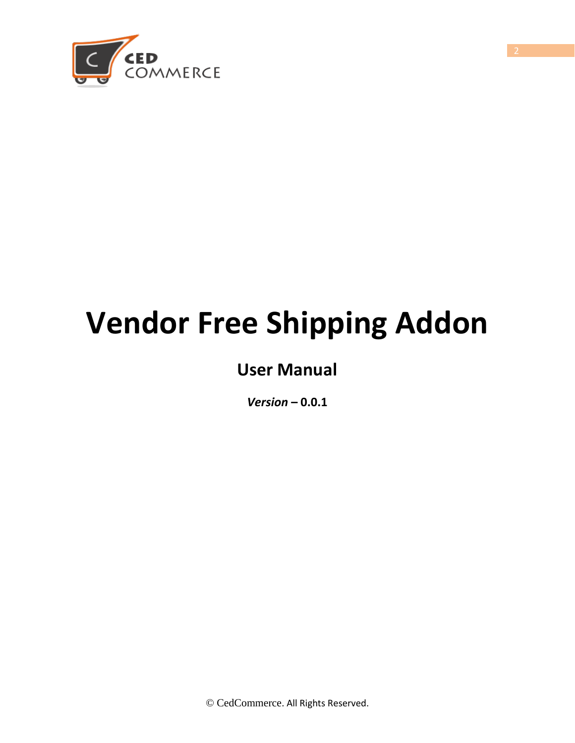

# **Vendor Free Shipping Addon**

# **User Manual**

*Version* **– 0.0.1**

© CedCommerce. All Rights Reserved.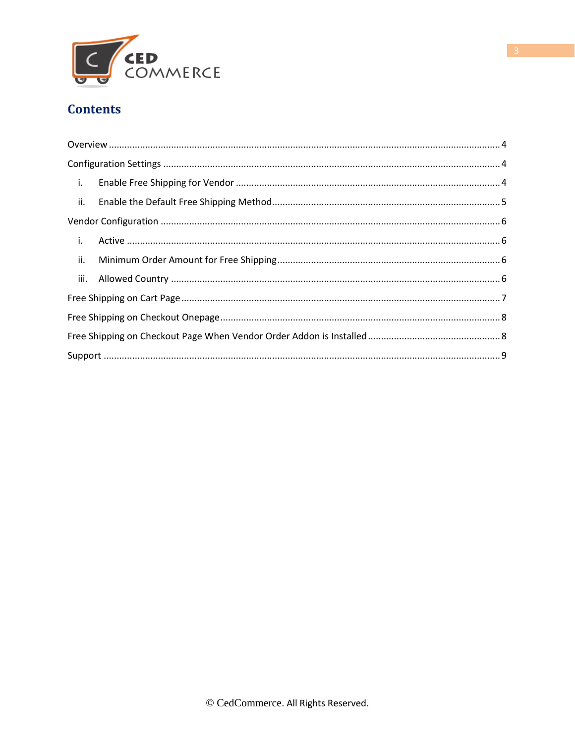

#### **Contents**

| $\mathbf{i}$ .          |  |
|-------------------------|--|
| $\overline{\mathbf{u}}$ |  |
|                         |  |
| $\mathbf{i}$ .          |  |
| ii.                     |  |
|                         |  |
|                         |  |
|                         |  |
|                         |  |
|                         |  |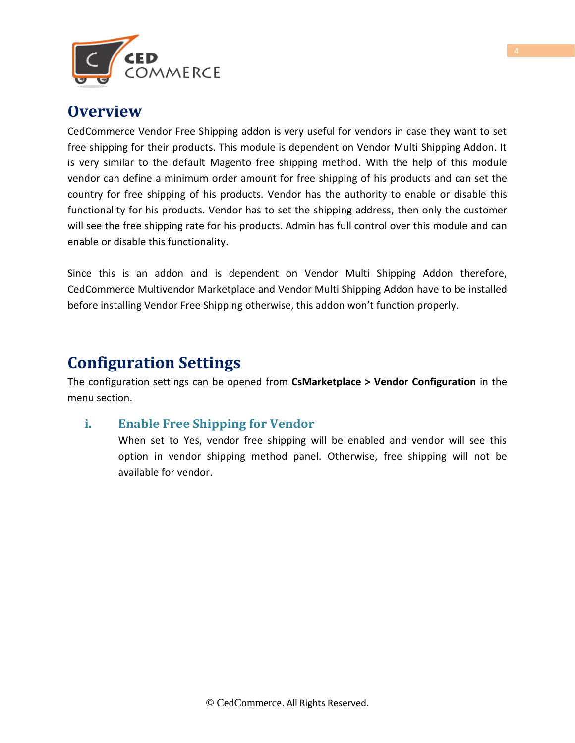

### <span id="page-3-0"></span>**Overview**

CedCommerce Vendor Free Shipping addon is very useful for vendors in case they want to set free shipping for their products. This module is dependent on Vendor Multi Shipping Addon. It is very similar to the default Magento free shipping method. With the help of this module vendor can define a minimum order amount for free shipping of his products and can set the country for free shipping of his products. Vendor has the authority to enable or disable this functionality for his products. Vendor has to set the shipping address, then only the customer will see the free shipping rate for his products. Admin has full control over this module and can enable or disable this functionality.

Since this is an addon and is dependent on Vendor Multi Shipping Addon therefore, CedCommerce Multivendor Marketplace and Vendor Multi Shipping Addon have to be installed before installing Vendor Free Shipping otherwise, this addon won't function properly.

### <span id="page-3-1"></span>**Configuration Settings**

The configuration settings can be opened from **CsMarketplace > Vendor Configuration** in the menu section.

#### <span id="page-3-2"></span>**i. Enable Free Shipping for Vendor**

When set to Yes, vendor free shipping will be enabled and vendor will see this option in vendor shipping method panel. Otherwise, free shipping will not be available for vendor.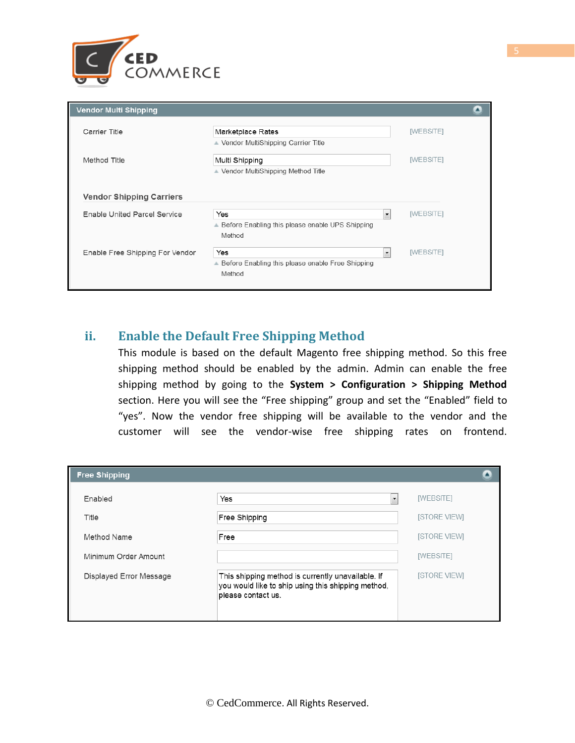

| <b>Vendor Multi Shipping</b>    |                                                              |                                       |
|---------------------------------|--------------------------------------------------------------|---------------------------------------|
| Carrier Title                   | Marketplace Rates<br>▲ Vendor MultiShipping Carrier Title    | [WEBSITE]                             |
| Method Title                    | Multi Shipping<br>▲ Vendor MultiShipping Method Title        | [WEBSITE]                             |
| <b>Vendor Shipping Carriers</b> |                                                              |                                       |
| Enable United Parcel Service    | Yes<br>▲ Before Enabling this please enable UPS Shipping     | [WEBSITE]<br>$\overline{\phantom{a}}$ |
| Enable Free Shipping For Vendor | Method<br>Yes                                                | [WEBSITE]<br>$\overline{\phantom{a}}$ |
|                                 | ▲ Before Enabling this please enable Free Shipping<br>Method |                                       |
|                                 |                                                              |                                       |

#### <span id="page-4-0"></span>**ii. Enable the Default Free Shipping Method**

This module is based on the default Magento free shipping method. So this free shipping method should be enabled by the admin. Admin can enable the free shipping method by going to the **System > Configuration > Shipping Method** section. Here you will see the "Free shipping" group and set the "Enabled" field to "yes". Now the vendor free shipping will be available to the vendor and the customer will see the vendor-wise free shipping rates on frontend.

| <b>Free Shipping</b>    |                                                                                                                               |                     |
|-------------------------|-------------------------------------------------------------------------------------------------------------------------------|---------------------|
| Enabled                 | Yes<br>$\blacktriangledown$                                                                                                   | [WEBSITE]           |
| Title                   | Free Shipping                                                                                                                 | <b>ISTORE VIEWI</b> |
| Method Name             | Free                                                                                                                          | <b>ISTORE VIEWI</b> |
| Minimum Order Amount    |                                                                                                                               | [WEBSITE]           |
| Displayed Error Message | This shipping method is currently unavailable. If<br>you would like to ship using this shipping method,<br>please contact us. | <b>ISTORE VIEWI</b> |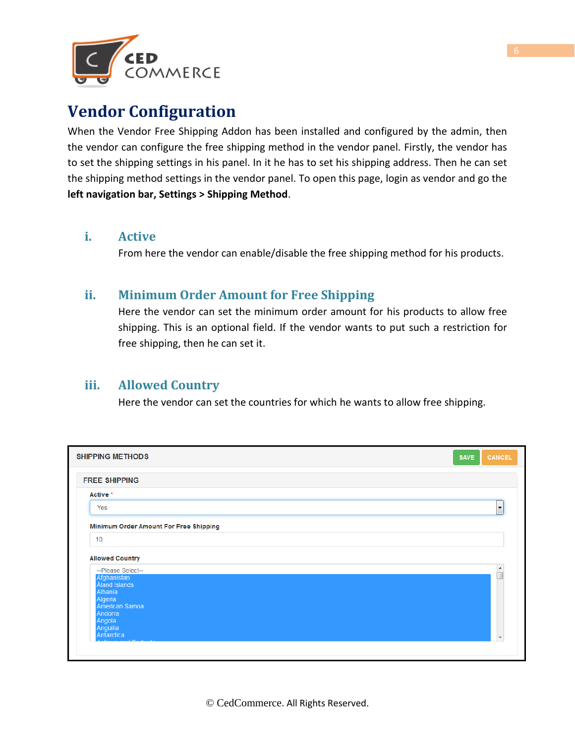

## <span id="page-5-0"></span>**Vendor Configuration**

When the Vendor Free Shipping Addon has been installed and configured by the admin, then the vendor can configure the free shipping method in the vendor panel. Firstly, the vendor has to set the shipping settings in his panel. In it he has to set his shipping address. Then he can set the shipping method settings in the vendor panel. To open this page, login as vendor and go the **left navigation bar, Settings > Shipping Method**.

#### <span id="page-5-1"></span>**i. Active**

From here the vendor can enable/disable the free shipping method for his products.

#### <span id="page-5-2"></span>**ii. Minimum Order Amount for Free Shipping**

Here the vendor can set the minimum order amount for his products to allow free shipping. This is an optional field. If the vendor wants to put such a restriction for free shipping, then he can set it.

#### <span id="page-5-3"></span>**iii. Allowed Country**

Here the vendor can set the countries for which he wants to allow free shipping.

| <b>SHIPPING METHODS</b>                | <b>CANCEL</b><br><b>SAVE</b> |
|----------------------------------------|------------------------------|
| <b>FREE SHIPPING</b>                   |                              |
| Active *                               |                              |
| Yes                                    | $\blacktriangledown$         |
| Minimum Order Amount For Free Shipping |                              |
| 10 <sup>1</sup>                        |                              |
| <b>Allowed Country</b>                 |                              |
| --Please Select--                      |                              |
| Afghanistan<br><b>Aland Islands</b>    | $\hat{a}$                    |
| Albania<br>Algeria                     |                              |
| American Samoa<br>Andorra              |                              |
| Angola<br>Anguilla<br>Antarctica       | $\overline{\phantom{a}}$     |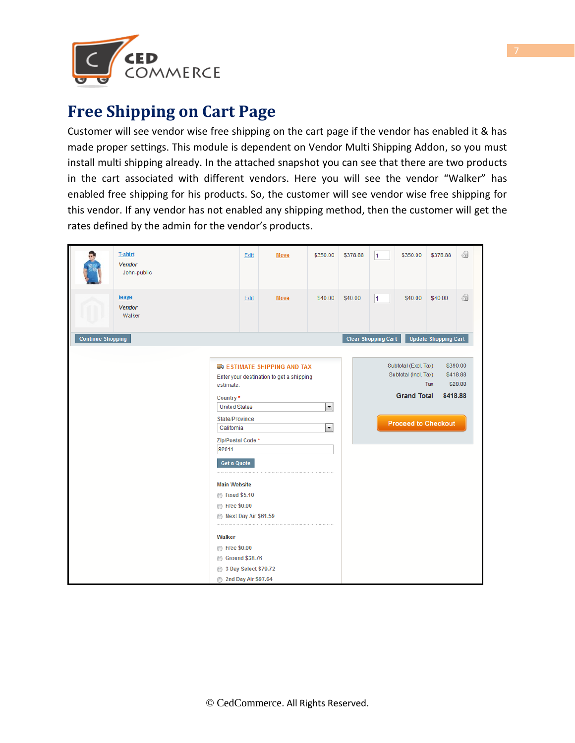

## <span id="page-6-0"></span>**Free Shipping on Cart Page**

Customer will see vendor wise free shipping on the cart page if the vendor has enabled it & has made proper settings. This module is dependent on Vendor Multi Shipping Addon, so you must install multi shipping already. In the attached snapshot you can see that there are two products in the cart associated with different vendors. Here you will see the vendor "Walker" has enabled free shipping for his products. So, the customer will see vendor wise free shipping for this vendor. If any vendor has not enabled any shipping method, then the customer will get the rates defined by the admin for the vendor's products.

|                          | <b>T-shirt</b><br>Vendor<br>John-public |                                                                                                                                                                                                                                                                                                                              | Edit | Move                                                                         | \$350.00                                             | \$378.88 | 1                          | \$350.00                                                           | \$378.88                                      | 61                              |
|--------------------------|-----------------------------------------|------------------------------------------------------------------------------------------------------------------------------------------------------------------------------------------------------------------------------------------------------------------------------------------------------------------------------|------|------------------------------------------------------------------------------|------------------------------------------------------|----------|----------------------------|--------------------------------------------------------------------|-----------------------------------------------|---------------------------------|
|                          | <b>tesve</b><br><b>Vendor</b><br>Walker |                                                                                                                                                                                                                                                                                                                              | Edit | <b>Move</b>                                                                  | \$40.00                                              | \$40.00  | 1                          | \$40.00                                                            | \$40.00                                       | 61                              |
| <b>Continue Shopping</b> |                                         |                                                                                                                                                                                                                                                                                                                              |      |                                                                              |                                                      |          | <b>Clear Shopping Cart</b> |                                                                    | <b>Update Shopping Cart</b>                   |                                 |
|                          |                                         | estimate.<br>Country*<br><b>United States</b><br><b>State/Province</b><br>California<br>Zip/Postal Code*<br>92011<br><b>Get a Quote</b><br><b>Main Website</b><br>◯ Fixed \$5.10<br>◯ Free \$0.00<br>Next Day Air \$61.59<br>Walker<br>◯ Free \$0.00<br><b>Ground \$38.76</b><br>3 Day Select \$79.72<br>2nd Day Air \$97.64 |      | <b>ESTIMATE SHIPPING AND TAX</b><br>Enter your destination to get a shipping | $\overline{\phantom{a}}$<br>$\overline{\phantom{a}}$ |          |                            | Subtotal (Excl. Tax)<br>Subtotal (Incl. Tax)<br><b>Grand Total</b> | Tax<br>\$418.88<br><b>Proceed to Checkout</b> | \$390.00<br>\$418.88<br>\$28.88 |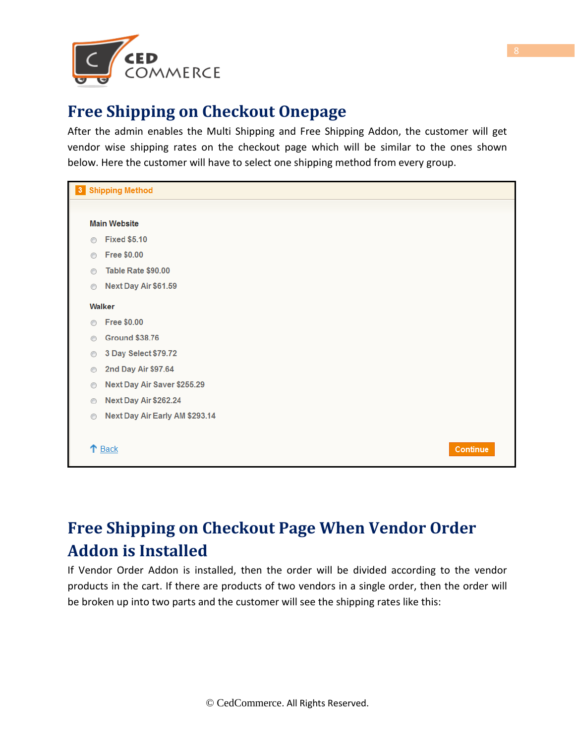

## <span id="page-7-0"></span>**Free Shipping on Checkout Onepage**

After the admin enables the Multi Shipping and Free Shipping Addon, the customer will get vendor wise shipping rates on the checkout page which will be similar to the ones shown below. Here the customer will have to select one shipping method from every group.

| 3 <sup>1</sup> | <b>Shipping Method</b>         |  |  |  |  |
|----------------|--------------------------------|--|--|--|--|
|                |                                |  |  |  |  |
|                | <b>Main Website</b>            |  |  |  |  |
| ◉              | <b>Fixed \$5.10</b>            |  |  |  |  |
| $\odot$        | <b>Free \$0.00</b>             |  |  |  |  |
| $\odot$        | Table Rate \$90.00             |  |  |  |  |
| $\circledcirc$ | Next Day Air \$61.59           |  |  |  |  |
|                | Walker                         |  |  |  |  |
| $\odot$        | <b>Free \$0.00</b>             |  |  |  |  |
| $\odot$        | <b>Ground \$38.76</b>          |  |  |  |  |
| $\circledcirc$ | 3 Day Select \$79.72           |  |  |  |  |
| $\circledcirc$ | 2nd Day Air \$97.64            |  |  |  |  |
| $\circledcirc$ | Next Day Air Saver \$255.29    |  |  |  |  |
| $\circledcirc$ | Next Day Air \$262.24          |  |  |  |  |
| $\circledcirc$ | Next Day Air Early AM \$293.14 |  |  |  |  |
|                | ↑ Back<br><b>Continue</b>      |  |  |  |  |

# <span id="page-7-1"></span>**Free Shipping on Checkout Page When Vendor Order Addon is Installed**

If Vendor Order Addon is installed, then the order will be divided according to the vendor products in the cart. If there are products of two vendors in a single order, then the order will be broken up into two parts and the customer will see the shipping rates like this: